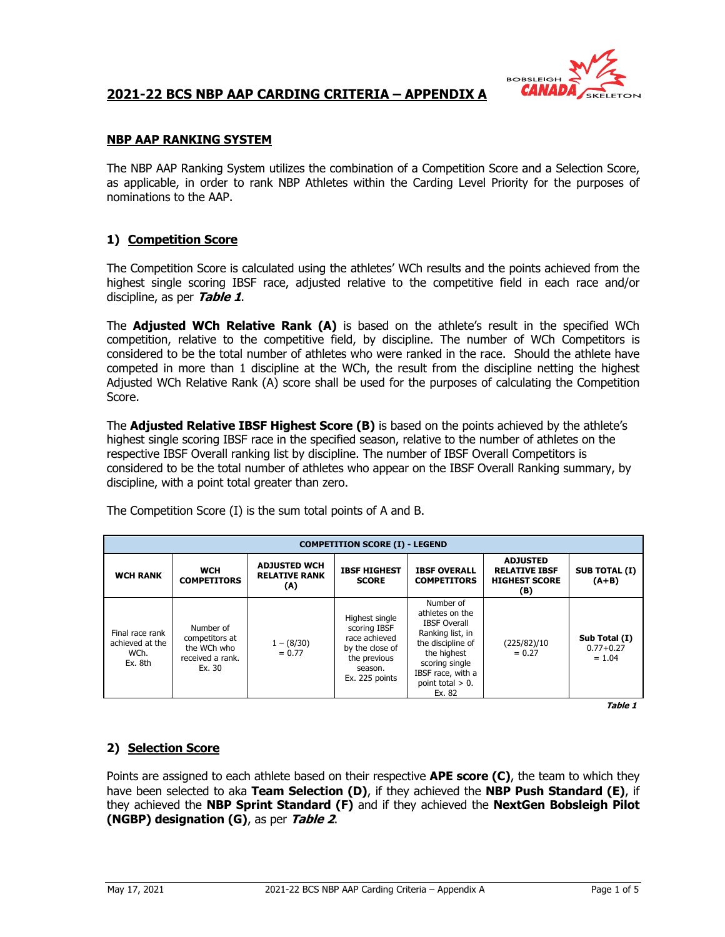

### **NBP AAP RANKING SYSTEM**

The NBP AAP Ranking System utilizes the combination of a Competition Score and a Selection Score, as applicable, in order to rank NBP Athletes within the Carding Level Priority for the purposes of nominations to the AAP.

### **1) Competition Score**

The Competition Score is calculated using the athletes' WCh results and the points achieved from the highest single scoring IBSF race, adjusted relative to the competitive field in each race and/or discipline, as per **Table 1**.

The **Adjusted WCh Relative Rank (A)** is based on the athlete's result in the specified WCh competition, relative to the competitive field, by discipline. The number of WCh Competitors is considered to be the total number of athletes who were ranked in the race. Should the athlete have competed in more than 1 discipline at the WCh, the result from the discipline netting the highest Adjusted WCh Relative Rank (A) score shall be used for the purposes of calculating the Competition Score.

The **Adjusted Relative IBSF Highest Score (B)** is based on the points achieved by the athlete's highest single scoring IBSF race in the specified season, relative to the number of athletes on the respective IBSF Overall ranking list by discipline. The number of IBSF Overall Competitors is considered to be the total number of athletes who appear on the IBSF Overall Ranking summary, by discipline, with a point total greater than zero.

| <b>COMPETITION SCORE (I) - LEGEND</b>                 |                                                                          |                                                    |                                                                                                                 |                                                                                                                                                                                     |                                                                        |                                            |  |  |  |  |
|-------------------------------------------------------|--------------------------------------------------------------------------|----------------------------------------------------|-----------------------------------------------------------------------------------------------------------------|-------------------------------------------------------------------------------------------------------------------------------------------------------------------------------------|------------------------------------------------------------------------|--------------------------------------------|--|--|--|--|
| <b>WCH RANK</b>                                       | <b>WCH</b><br><b>COMPETITORS</b>                                         | <b>ADJUSTED WCH</b><br><b>RELATIVE RANK</b><br>(A) | <b>IBSF HIGHEST</b><br><b>SCORE</b>                                                                             | <b>IBSF OVERALL</b><br><b>COMPETITORS</b>                                                                                                                                           | <b>ADJUSTED</b><br><b>RELATIVE IBSF</b><br><b>HIGHEST SCORE</b><br>(B) | <b>SUB TOTAL (I)</b><br>$(A+B)$            |  |  |  |  |
| Final race rank<br>achieved at the<br>WCh.<br>Ex. 8th | Number of<br>competitors at<br>the WCh who<br>received a rank.<br>Ex. 30 | $1 - (8/30)$<br>$= 0.77$                           | Highest single<br>scoring IBSF<br>race achieved<br>by the close of<br>the previous<br>season.<br>Ex. 225 points | Number of<br>athletes on the<br><b>IBSF Overall</b><br>Ranking list, in<br>the discipline of<br>the highest<br>scoring single<br>IBSF race, with a<br>point total $> 0$ .<br>Ex. 82 | (225/82)/10<br>$= 0.27$                                                | Sub Total (I)<br>$0.77 + 0.27$<br>$= 1.04$ |  |  |  |  |

The Competition Score (I) is the sum total points of A and B.

**Table 1**

## **2) Selection Score**

Points are assigned to each athlete based on their respective **APE score (C)**, the team to which they have been selected to aka **Team Selection (D)**, if they achieved the **NBP Push Standard (E)**, if they achieved the **NBP Sprint Standard (F)** and if they achieved the **NextGen Bobsleigh Pilot (NGBP) designation (G)**, as per **Table 2**.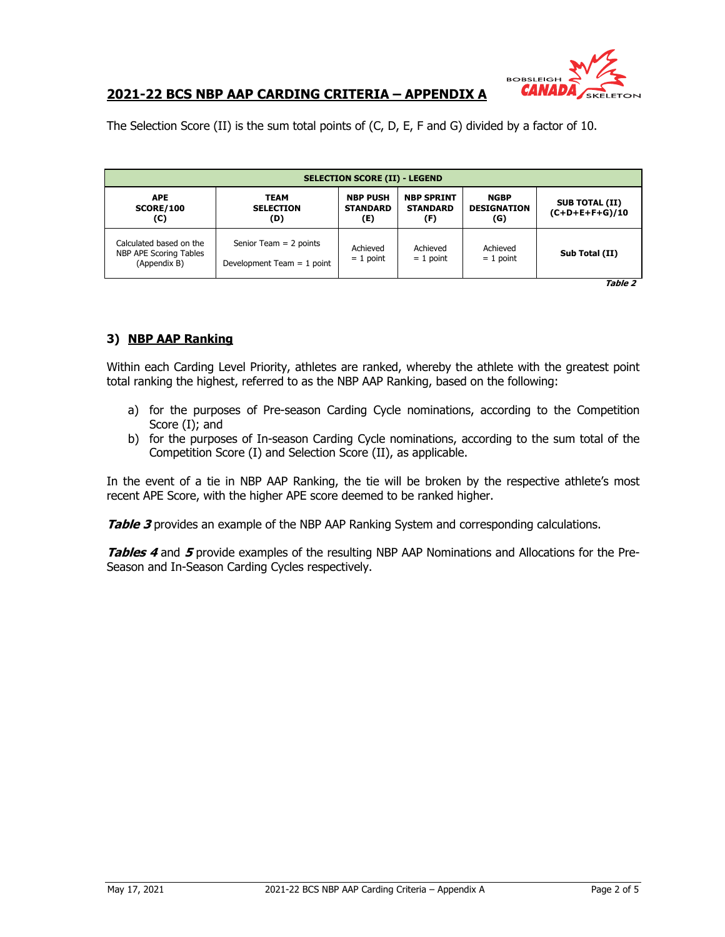

The Selection Score (II) is the sum total points of (C, D, E, F and G) divided by a factor of 10.

| <b>SELECTION SCORE (II) - LEGEND</b>                              |                                                          |                                           |                                             |                                          |                                           |  |  |  |  |
|-------------------------------------------------------------------|----------------------------------------------------------|-------------------------------------------|---------------------------------------------|------------------------------------------|-------------------------------------------|--|--|--|--|
| <b>APE</b><br><b>SCORE/100</b><br>(C)                             | <b>TEAM</b><br><b>SELECTION</b><br>(D)                   | <b>NBP PUSH</b><br><b>STANDARD</b><br>(E) | <b>NBP SPRINT</b><br><b>STANDARD</b><br>(F) | <b>NGBP</b><br><b>DESIGNATION</b><br>(G) | <b>SUB TOTAL (II)</b><br>$(C+D+E+F+G)/10$ |  |  |  |  |
| Calculated based on the<br>NBP APE Scoring Tables<br>(Appendix B) | Senior Team $= 2$ points<br>Development Team $= 1$ point | Achieved<br>$= 1$ point                   | Achieved<br>$= 1$ point                     | Achieved<br>$= 1$ point                  | Sub Total (II)                            |  |  |  |  |

**Table 2**

### **3) NBP AAP Ranking**

Within each Carding Level Priority, athletes are ranked, whereby the athlete with the greatest point total ranking the highest, referred to as the NBP AAP Ranking, based on the following:

- a) for the purposes of Pre-season Carding Cycle nominations, according to the Competition Score (I); and
- b) for the purposes of In-season Carding Cycle nominations, according to the sum total of the Competition Score (I) and Selection Score (II), as applicable.

In the event of a tie in NBP AAP Ranking, the tie will be broken by the respective athlete's most recent APE Score, with the higher APE score deemed to be ranked higher.

**Table 3** provides an example of the NBP AAP Ranking System and corresponding calculations.

**Tables 4** and **5** provide examples of the resulting NBP AAP Nominations and Allocations for the Pre-Season and In-Season Carding Cycles respectively.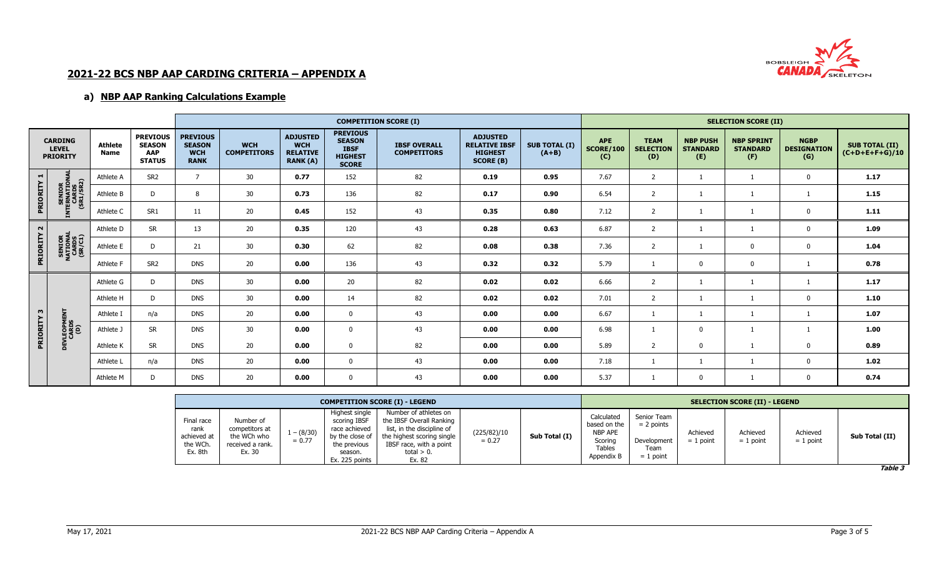

## **a) NBP AAP Ranking Calculations Example**

|                                                   |                                              |                               |                                                          | <b>COMPETITION SCORE (I)</b>                                  |                                  |                                                                     |                                                                                   |                                           |                                                                               |                                 |                                       | <b>SELECTION SCORE (II)</b>            |                                           |                                             |                                          |                                           |  |
|---------------------------------------------------|----------------------------------------------|-------------------------------|----------------------------------------------------------|---------------------------------------------------------------|----------------------------------|---------------------------------------------------------------------|-----------------------------------------------------------------------------------|-------------------------------------------|-------------------------------------------------------------------------------|---------------------------------|---------------------------------------|----------------------------------------|-------------------------------------------|---------------------------------------------|------------------------------------------|-------------------------------------------|--|
| <b>CARDING</b><br><b>LEVEL</b><br><b>PRIORITY</b> |                                              | <b>Athlete</b><br><b>Name</b> | <b>PREVIOUS</b><br><b>SEASON</b><br>AAP<br><b>STATUS</b> | <b>PREVIOUS</b><br><b>SEASON</b><br><b>WCH</b><br><b>RANK</b> | <b>WCH</b><br><b>COMPETITORS</b> | <b>ADJUSTED</b><br><b>WCH</b><br><b>RELATIVE</b><br><b>RANK (A)</b> | <b>PREVIOUS</b><br><b>SEASON</b><br><b>IBSF</b><br><b>HIGHEST</b><br><b>SCORE</b> | <b>IBSF OVERALL</b><br><b>COMPETITORS</b> | <b>ADJUSTED</b><br><b>RELATIVE IBSF</b><br><b>HIGHEST</b><br><b>SCORE (B)</b> | <b>SUB TOTAL (I)</b><br>$(A+B)$ | <b>APE</b><br><b>SCORE/100</b><br>(C) | <b>TEAM</b><br><b>SELECTION</b><br>(D) | <b>NBP PUSH</b><br><b>STANDARD</b><br>(E) | <b>NBP SPRINT</b><br><b>STANDARD</b><br>(F) | <b>NGBP</b><br><b>DESIGNATION</b><br>(G) | <b>SUB TOTAL (II)</b><br>$(C+D+E+F+G)/10$ |  |
| $\blacksquare$                                    | <b>SNO</b>                                   | Athlete A                     | SR <sub>2</sub>                                          | $\overline{7}$                                                | 30                               | 0.77                                                                | 152                                                                               | 82                                        | 0.19                                                                          | 0.95                            | 7.67                                  | $\overline{z}$                         |                                           |                                             | $\mathbf{0}$                             | 1.17                                      |  |
| PRIORITY                                          | <b>SENIOR</b>                                | Athlete B                     | D                                                        | 8                                                             | 30                               | 0.73                                                                | 136                                                                               | 82                                        | 0.17                                                                          | 0.90                            | 6.54                                  | 2                                      |                                           |                                             |                                          | 1.15                                      |  |
|                                                   | INTERNATION<br>CARDS<br>(SR1/SR2)            | Athlete C                     | SR1                                                      | 11                                                            | 20                               | 0.45                                                                | 152                                                                               | 43                                        | 0.35                                                                          | 0.80                            | 7.12                                  | 2                                      |                                           |                                             | 0                                        | 1.11                                      |  |
| $\sim$                                            | <b>SENIOR<br/>NATIONAL</b><br>CARDS<br>CARDS | Athlete D                     | <b>SR</b>                                                | 13                                                            | 20                               | 0.35                                                                | 120                                                                               | 43                                        | 0.28                                                                          | 0.63                            | 6.87                                  | 2                                      |                                           |                                             | 0                                        | 1.09                                      |  |
| PRIORITY                                          |                                              | Athlete E                     | D                                                        | 21                                                            | 30                               | 0.30                                                                | 62                                                                                | 82                                        | 0.08                                                                          | 0.38                            | 7.36                                  | 2                                      |                                           | $\mathbf 0$                                 | 0                                        | 1.04                                      |  |
|                                                   |                                              | Athlete F                     | SR <sub>2</sub>                                          | <b>DNS</b>                                                    | 20                               | 0.00                                                                | 136                                                                               | 43                                        | 0.32                                                                          | 0.32                            | 5.79                                  |                                        | $\Omega$                                  | 0                                           |                                          | 0.78                                      |  |
|                                                   |                                              | Athlete G                     | D                                                        | <b>DNS</b>                                                    | 30                               | 0.00                                                                | 20                                                                                | 82                                        | 0.02                                                                          | 0.02                            | 6.66                                  | $\overline{2}$                         |                                           |                                             |                                          | 1.17                                      |  |
|                                                   |                                              | Athlete H                     | D                                                        | <b>DNS</b>                                                    | 30                               | 0.00                                                                | 14                                                                                | 82                                        | 0.02                                                                          | 0.02                            | 7.01                                  | 2                                      |                                           |                                             | $\mathbf 0$                              | 1.10                                      |  |
| $\mathbf{w}$                                      | 로                                            | Athlete I                     | n/a                                                      | <b>DNS</b>                                                    | 20                               | 0.00                                                                | 0                                                                                 | 43                                        | 0.00                                                                          | 0.00                            | 6.67                                  |                                        |                                           |                                             |                                          | 1.07                                      |  |
| PRIORITY                                          | <b>DEVLEOPME<br/>CARDS</b><br>(D)            | Athlete J                     | <b>SR</b>                                                | <b>DNS</b>                                                    | 30                               | 0.00                                                                | $\mathbf{0}$                                                                      | 43                                        | 0.00                                                                          | 0.00                            | 6.98                                  |                                        | $\Omega$                                  |                                             |                                          | 1.00                                      |  |
|                                                   |                                              | Athlete K                     | <b>SR</b>                                                | <b>DNS</b>                                                    | 20                               | 0.00                                                                | 0                                                                                 | 82                                        | 0.00                                                                          | 0.00                            | 5.89                                  | 2                                      | $\Omega$                                  |                                             | 0                                        | 0.89                                      |  |
|                                                   |                                              | Athlete L                     | n/a                                                      | <b>DNS</b>                                                    | 20                               | 0.00                                                                | 0                                                                                 | 43                                        | 0.00                                                                          | 0.00                            | 7.18                                  |                                        |                                           |                                             | $\mathbf 0$                              | 1.02                                      |  |
|                                                   |                                              | Athlete M                     | D                                                        | <b>DNS</b>                                                    | 20                               | 0.00                                                                | 0                                                                                 | 43                                        | 0.00                                                                          | 0.00                            | 5.37                                  |                                        | $\Omega$                                  |                                             | $\mathbf 0$                              | 0.74                                      |  |

| <b>COMPETITION SCORE (I) - LEGEND</b>                    |                                                                          |                        |                                                                                                                 |                                                                                                                                                                     |                         |               |                                                                                 | <b>SELECTION SCORE (II) - LEGEND</b>                              |                         |                         |                         |                |  |  |
|----------------------------------------------------------|--------------------------------------------------------------------------|------------------------|-----------------------------------------------------------------------------------------------------------------|---------------------------------------------------------------------------------------------------------------------------------------------------------------------|-------------------------|---------------|---------------------------------------------------------------------------------|-------------------------------------------------------------------|-------------------------|-------------------------|-------------------------|----------------|--|--|
| Final race<br>rank<br>achieved at<br>the WCh.<br>Ex. 8th | Number of<br>competitors at<br>the WCh who<br>received a rank.<br>Ex. 30 | $- (8/30)$<br>$= 0.77$ | Highest single<br>scoring IBSF<br>race achieved<br>by the close of<br>the previous<br>season.<br>Ex. 225 points | Number of athletes on<br>the IBSF Overall Ranking<br>list, in the discipline of<br>the highest scoring single<br>IBSF race, with a point<br>total $> 0$ .<br>Ex. 82 | (225/82)/10<br>$= 0.27$ | Sub Total (I) | Calculated<br>based on the<br>NBP APE<br>Scoring<br><b>Tables</b><br>Appendix B | Senior Team<br>$= 2$ points<br>Development<br>Team<br>$= 1$ point | Achieved<br>$= 1$ point | Achieved<br>$= 1$ point | Achieved<br>$= 1$ point | Sub Total (II) |  |  |

**Table 3**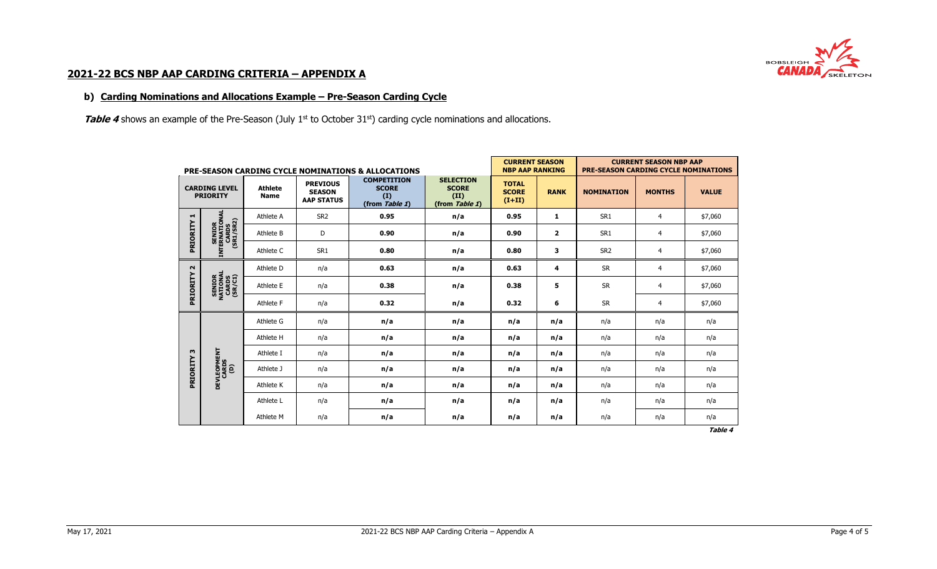

#### **b) Carding Nominations and Allocations Example – Pre-Season Carding Cycle**

**Table 4** shows an example of the Pre-Season (July 1<sup>st</sup> to October 31<sup>st</sup>) carding cycle nominations and allocations.

|                                         |                                               |                               |                                                       | <b>PRE-SEASON CARDING CYCLE NOMINATIONS &amp; ALLOCATIONS</b> | <b>CURRENT SEASON</b><br><b>NBP AAP RANKING</b>            |                                          | <b>CURRENT SEASON NBP AAP</b><br><b>PRE-SEASON CARDING CYCLE NOMINATIONS</b> |                   |                |              |
|-----------------------------------------|-----------------------------------------------|-------------------------------|-------------------------------------------------------|---------------------------------------------------------------|------------------------------------------------------------|------------------------------------------|------------------------------------------------------------------------------|-------------------|----------------|--------------|
| <b>CARDING LEVEL</b><br><b>PRIORITY</b> |                                               | <b>Athlete</b><br><b>Name</b> | <b>PREVIOUS</b><br><b>SEASON</b><br><b>AAP STATUS</b> | <b>COMPETITION</b><br><b>SCORE</b><br>(I)<br>(from Table 1)   | <b>SELECTION</b><br><b>SCORE</b><br>(II)<br>(from Table 1) | <b>TOTAL</b><br><b>SCORE</b><br>$(I+II)$ | <b>RANK</b>                                                                  | <b>NOMINATION</b> | <b>MONTHS</b>  | <b>VALUE</b> |
| ᆏ                                       |                                               | Athlete A                     | SR <sub>2</sub>                                       | 0.95                                                          | n/a                                                        | 0.95                                     | 1                                                                            | SR <sub>1</sub>   | $\overline{4}$ | \$7,060      |
| PRIORITY                                |                                               | Athlete B                     | D                                                     | 0.90                                                          | n/a                                                        | 0.90                                     | $\overline{2}$                                                               | SR <sub>1</sub>   | $\overline{4}$ | \$7,060      |
|                                         | SENIOR<br>INTERNATIONAL<br>CARDS<br>(SR1/SR2) | Athlete C                     | SR <sub>1</sub>                                       | 0.80                                                          | n/a                                                        | 0.80                                     | 3                                                                            | SR <sub>2</sub>   | 4              | \$7,060      |
| $\sim$                                  | SENIOR<br>NATIONAL<br>CARDS<br>CARDS          | Athlete D                     | n/a                                                   | 0.63                                                          | n/a                                                        | 0.63                                     | 4                                                                            | <b>SR</b>         | $\overline{4}$ | \$7,060      |
| PRIORITY                                |                                               | Athlete E                     | n/a                                                   | 0.38                                                          | n/a                                                        | 0.38                                     | 5                                                                            | <b>SR</b>         | 4              | \$7,060      |
|                                         |                                               | Athlete F                     | n/a                                                   | 0.32                                                          | n/a                                                        | 0.32                                     | 6                                                                            | <b>SR</b>         | $\overline{4}$ | \$7,060      |
|                                         |                                               | Athlete G                     | n/a                                                   | n/a                                                           | n/a                                                        | n/a                                      | n/a                                                                          | n/a               | n/a            | n/a          |
|                                         |                                               | Athlete H                     | n/a                                                   | n/a                                                           | n/a                                                        | n/a                                      | n/a                                                                          | n/a               | n/a            | n/a          |
| w                                       |                                               | Athlete I                     | n/a                                                   | n/a                                                           | n/a                                                        | n/a                                      | n/a                                                                          | n/a               | n/a            | n/a          |
| PRIORITY                                | <b>DEVLEOPMENT</b><br>CARDS<br>(D)            | Athlete J                     | n/a                                                   | n/a                                                           | n/a                                                        | n/a                                      | n/a                                                                          | n/a               | n/a            | n/a          |
|                                         |                                               | Athlete K                     | n/a                                                   | n/a                                                           | n/a                                                        | n/a                                      | n/a                                                                          | n/a               | n/a            | n/a          |
|                                         |                                               | Athlete L                     | n/a                                                   | n/a                                                           | n/a                                                        | n/a                                      | n/a                                                                          | n/a               | n/a            | n/a          |
|                                         |                                               | Athlete M                     | n/a                                                   | n/a                                                           | n/a                                                        | n/a                                      | n/a                                                                          | n/a               | n/a            | n/a          |

**Table 4**